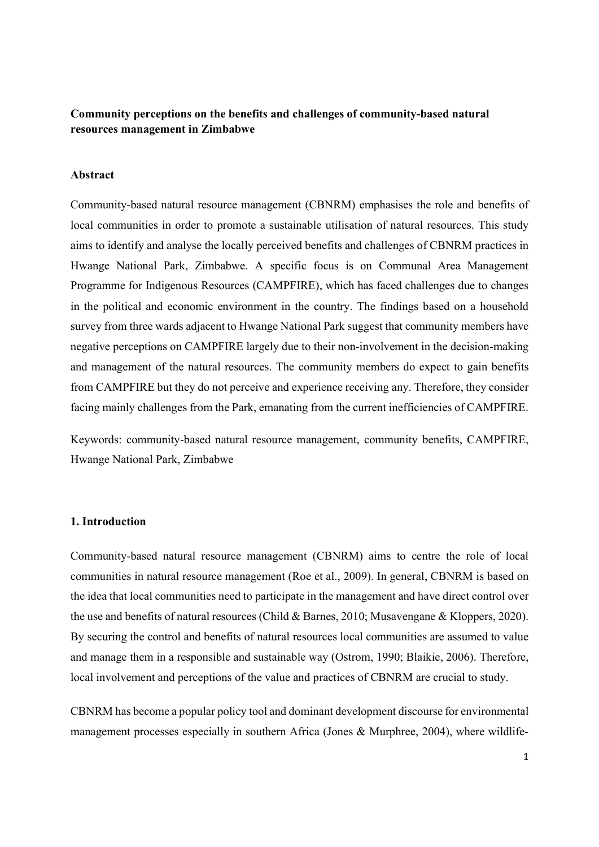# Community perceptions on the benefits and challenges of community-based natural resources management in Zimbabwe

## Abstract

Community-based natural resource management (CBNRM) emphasises the role and benefits of local communities in order to promote a sustainable utilisation of natural resources. This study aims to identify and analyse the locally perceived benefits and challenges of CBNRM practices in Hwange National Park, Zimbabwe. A specific focus is on Communal Area Management Programme for Indigenous Resources (CAMPFIRE), which has faced challenges due to changes in the political and economic environment in the country. The findings based on a household survey from three wards adjacent to Hwange National Park suggest that community members have negative perceptions on CAMPFIRE largely due to their non-involvement in the decision-making and management of the natural resources. The community members do expect to gain benefits from CAMPFIRE but they do not perceive and experience receiving any. Therefore, they consider facing mainly challenges from the Park, emanating from the current inefficiencies of CAMPFIRE.

Keywords: community-based natural resource management, community benefits, CAMPFIRE, Hwange National Park, Zimbabwe

## 1. Introduction

Community-based natural resource management (CBNRM) aims to centre the role of local communities in natural resource management (Roe et al., 2009). In general, CBNRM is based on the idea that local communities need to participate in the management and have direct control over the use and benefits of natural resources (Child & Barnes, 2010; Musavengane & Kloppers, 2020). By securing the control and benefits of natural resources local communities are assumed to value and manage them in a responsible and sustainable way (Ostrom, 1990; Blaikie, 2006). Therefore, local involvement and perceptions of the value and practices of CBNRM are crucial to study.

CBNRM has become a popular policy tool and dominant development discourse for environmental management processes especially in southern Africa (Jones & Murphree, 2004), where wildlife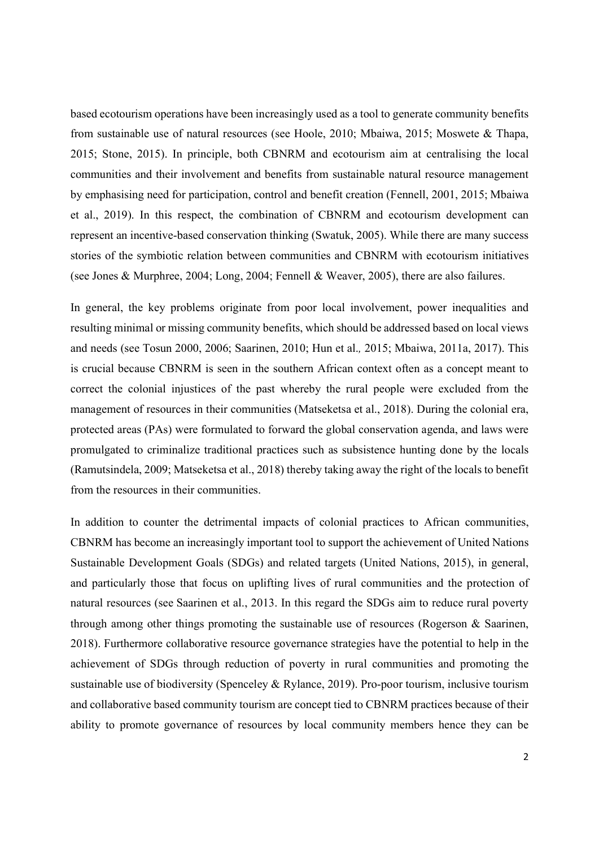based ecotourism operations have been increasingly used as a tool to generate community benefits from sustainable use of natural resources (see Hoole, 2010; Mbaiwa, 2015; Moswete & Thapa, 2015; Stone, 2015). In principle, both CBNRM and ecotourism aim at centralising the local communities and their involvement and benefits from sustainable natural resource management by emphasising need for participation, control and benefit creation (Fennell, 2001, 2015; Mbaiwa et al., 2019). In this respect, the combination of CBNRM and ecotourism development can represent an incentive-based conservation thinking (Swatuk, 2005). While there are many success stories of the symbiotic relation between communities and CBNRM with ecotourism initiatives (see Jones & Murphree, 2004; Long, 2004; Fennell & Weaver, 2005), there are also failures.

In general, the key problems originate from poor local involvement, power inequalities and resulting minimal or missing community benefits, which should be addressed based on local views and needs (see Tosun 2000, 2006; Saarinen, 2010; Hun et al., 2015; Mbaiwa, 2011a, 2017). This is crucial because CBNRM is seen in the southern African context often as a concept meant to correct the colonial injustices of the past whereby the rural people were excluded from the management of resources in their communities (Matseketsa et al., 2018). During the colonial era, protected areas (PAs) were formulated to forward the global conservation agenda, and laws were promulgated to criminalize traditional practices such as subsistence hunting done by the locals (Ramutsindela, 2009; Matseketsa et al., 2018) thereby taking away the right of the locals to benefit from the resources in their communities.

In addition to counter the detrimental impacts of colonial practices to African communities, CBNRM has become an increasingly important tool to support the achievement of United Nations Sustainable Development Goals (SDGs) and related targets (United Nations, 2015), in general, and particularly those that focus on uplifting lives of rural communities and the protection of natural resources (see Saarinen et al., 2013. In this regard the SDGs aim to reduce rural poverty through among other things promoting the sustainable use of resources (Rogerson & Saarinen, 2018). Furthermore collaborative resource governance strategies have the potential to help in the achievement of SDGs through reduction of poverty in rural communities and promoting the sustainable use of biodiversity (Spenceley & Rylance, 2019). Pro-poor tourism, inclusive tourism and collaborative based community tourism are concept tied to CBNRM practices because of their ability to promote governance of resources by local community members hence they can be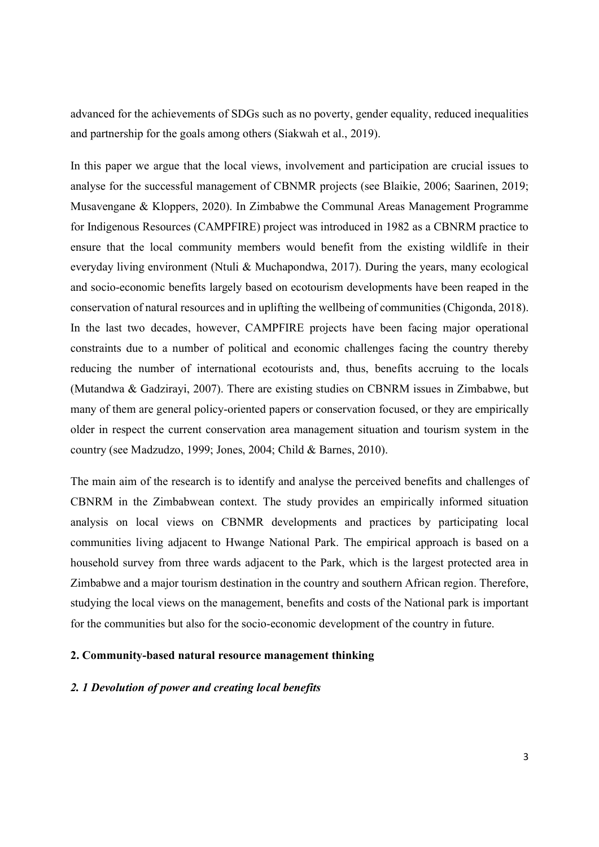advanced for the achievements of SDGs such as no poverty, gender equality, reduced inequalities and partnership for the goals among others (Siakwah et al., 2019).

In this paper we argue that the local views, involvement and participation are crucial issues to analyse for the successful management of CBNMR projects (see Blaikie, 2006; Saarinen, 2019; Musavengane & Kloppers, 2020). In Zimbabwe the Communal Areas Management Programme for Indigenous Resources (CAMPFIRE) project was introduced in 1982 as a CBNRM practice to ensure that the local community members would benefit from the existing wildlife in their everyday living environment (Ntuli & Muchapondwa, 2017). During the years, many ecological and socio-economic benefits largely based on ecotourism developments have been reaped in the conservation of natural resources and in uplifting the wellbeing of communities (Chigonda, 2018). In the last two decades, however, CAMPFIRE projects have been facing major operational constraints due to a number of political and economic challenges facing the country thereby reducing the number of international ecotourists and, thus, benefits accruing to the locals (Mutandwa & Gadzirayi, 2007). There are existing studies on CBNRM issues in Zimbabwe, but many of them are general policy-oriented papers or conservation focused, or they are empirically older in respect the current conservation area management situation and tourism system in the country (see Madzudzo, 1999; Jones, 2004; Child & Barnes, 2010).

The main aim of the research is to identify and analyse the perceived benefits and challenges of CBNRM in the Zimbabwean context. The study provides an empirically informed situation analysis on local views on CBNMR developments and practices by participating local communities living adjacent to Hwange National Park. The empirical approach is based on a household survey from three wards adjacent to the Park, which is the largest protected area in Zimbabwe and a major tourism destination in the country and southern African region. Therefore, studying the local views on the management, benefits and costs of the National park is important for the communities but also for the socio-economic development of the country in future.

## 2. Community-based natural resource management thinking

## 2. 1 Devolution of power and creating local benefits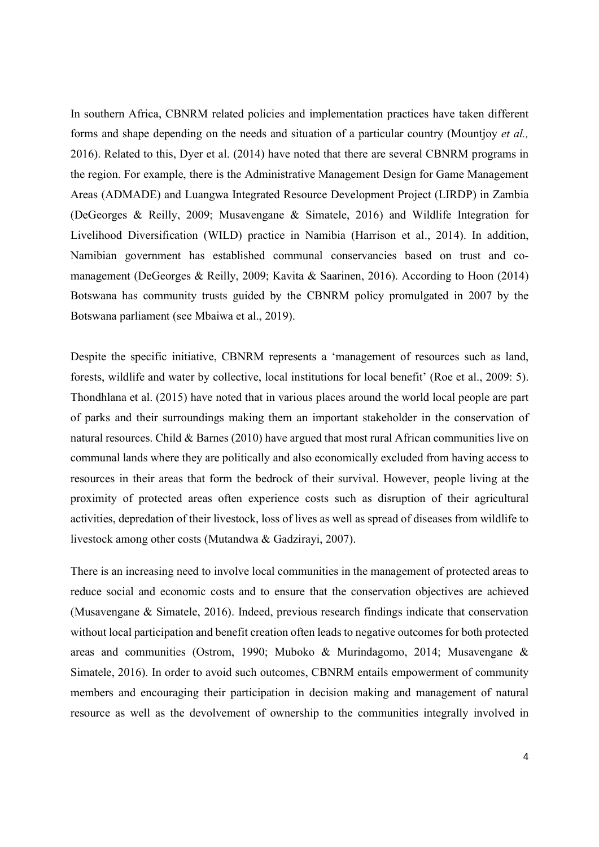In southern Africa, CBNRM related policies and implementation practices have taken different forms and shape depending on the needs and situation of a particular country (Mountjoy et al., 2016). Related to this, Dyer et al. (2014) have noted that there are several CBNRM programs in the region. For example, there is the Administrative Management Design for Game Management Areas (ADMADE) and Luangwa Integrated Resource Development Project (LIRDP) in Zambia (DeGeorges & Reilly, 2009; Musavengane & Simatele, 2016) and Wildlife Integration for Livelihood Diversification (WILD) practice in Namibia (Harrison et al., 2014). In addition, Namibian government has established communal conservancies based on trust and comanagement (DeGeorges & Reilly, 2009; Kavita & Saarinen, 2016). According to Hoon (2014) Botswana has community trusts guided by the CBNRM policy promulgated in 2007 by the Botswana parliament (see Mbaiwa et al., 2019).

Despite the specific initiative, CBNRM represents a 'management of resources such as land, forests, wildlife and water by collective, local institutions for local benefit' (Roe et al., 2009: 5). Thondhlana et al. (2015) have noted that in various places around the world local people are part of parks and their surroundings making them an important stakeholder in the conservation of natural resources. Child & Barnes (2010) have argued that most rural African communities live on communal lands where they are politically and also economically excluded from having access to resources in their areas that form the bedrock of their survival. However, people living at the proximity of protected areas often experience costs such as disruption of their agricultural activities, depredation of their livestock, loss of lives as well as spread of diseases from wildlife to livestock among other costs (Mutandwa & Gadzirayi, 2007).

There is an increasing need to involve local communities in the management of protected areas to reduce social and economic costs and to ensure that the conservation objectives are achieved (Musavengane & Simatele, 2016). Indeed, previous research findings indicate that conservation without local participation and benefit creation often leads to negative outcomes for both protected areas and communities (Ostrom, 1990; Muboko & Murindagomo, 2014; Musavengane & Simatele, 2016). In order to avoid such outcomes, CBNRM entails empowerment of community members and encouraging their participation in decision making and management of natural resource as well as the devolvement of ownership to the communities integrally involved in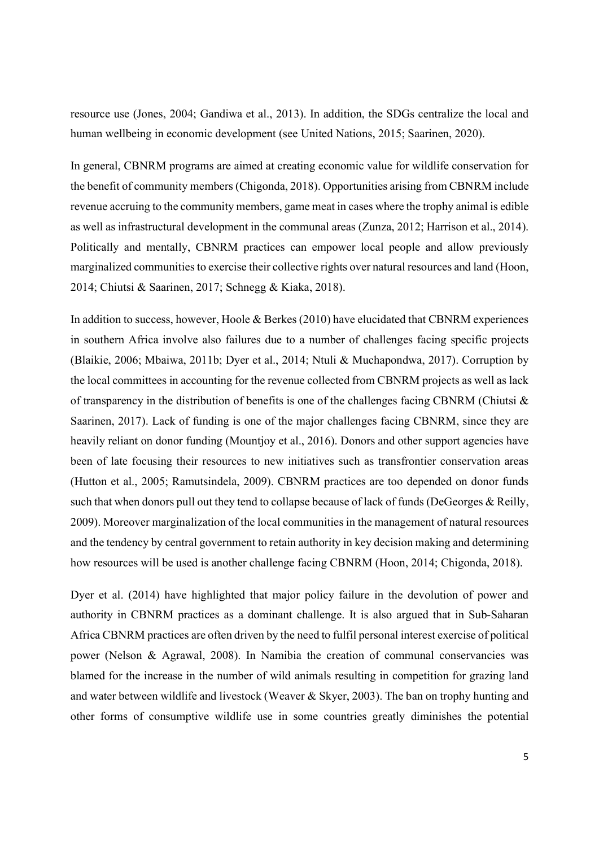resource use (Jones, 2004; Gandiwa et al., 2013). In addition, the SDGs centralize the local and human wellbeing in economic development (see United Nations, 2015; Saarinen, 2020).

In general, CBNRM programs are aimed at creating economic value for wildlife conservation for the benefit of community members (Chigonda, 2018). Opportunities arising from CBNRM include revenue accruing to the community members, game meat in cases where the trophy animal is edible as well as infrastructural development in the communal areas (Zunza, 2012; Harrison et al., 2014). Politically and mentally, CBNRM practices can empower local people and allow previously marginalized communities to exercise their collective rights over natural resources and land (Hoon, 2014; Chiutsi & Saarinen, 2017; Schnegg & Kiaka, 2018).

In addition to success, however, Hoole & Berkes (2010) have elucidated that CBNRM experiences in southern Africa involve also failures due to a number of challenges facing specific projects (Blaikie, 2006; Mbaiwa, 2011b; Dyer et al., 2014; Ntuli & Muchapondwa, 2017). Corruption by the local committees in accounting for the revenue collected from CBNRM projects as well as lack of transparency in the distribution of benefits is one of the challenges facing CBNRM (Chiutsi  $\&$ Saarinen, 2017). Lack of funding is one of the major challenges facing CBNRM, since they are heavily reliant on donor funding (Mountjoy et al., 2016). Donors and other support agencies have been of late focusing their resources to new initiatives such as transfrontier conservation areas (Hutton et al., 2005; Ramutsindela, 2009). CBNRM practices are too depended on donor funds such that when donors pull out they tend to collapse because of lack of funds (DeGeorges & Reilly, 2009). Moreover marginalization of the local communities in the management of natural resources and the tendency by central government to retain authority in key decision making and determining how resources will be used is another challenge facing CBNRM (Hoon, 2014; Chigonda, 2018).

Dyer et al. (2014) have highlighted that major policy failure in the devolution of power and authority in CBNRM practices as a dominant challenge. It is also argued that in Sub-Saharan Africa CBNRM practices are often driven by the need to fulfil personal interest exercise of political power (Nelson & Agrawal, 2008). In Namibia the creation of communal conservancies was blamed for the increase in the number of wild animals resulting in competition for grazing land and water between wildlife and livestock (Weaver & Skyer, 2003). The ban on trophy hunting and other forms of consumptive wildlife use in some countries greatly diminishes the potential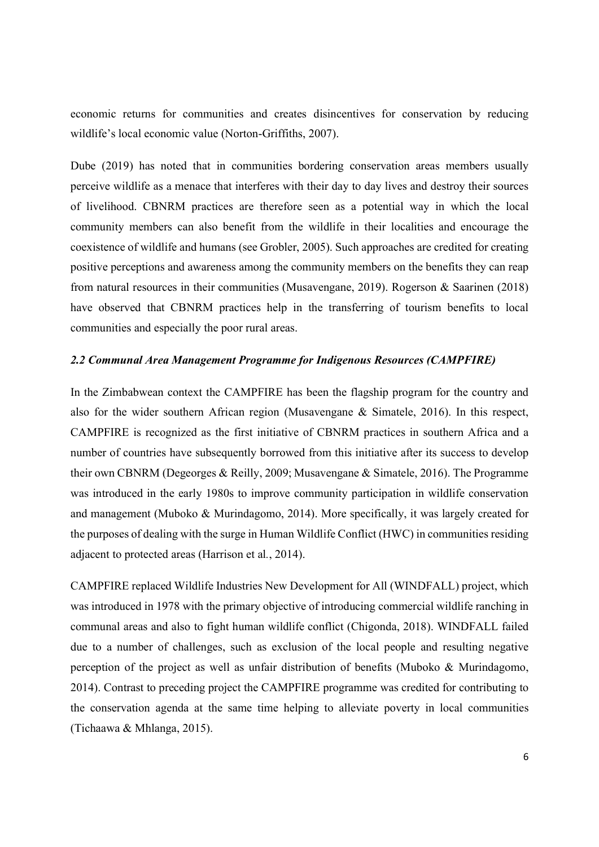economic returns for communities and creates disincentives for conservation by reducing wildlife's local economic value (Norton-Griffiths, 2007).

Dube (2019) has noted that in communities bordering conservation areas members usually perceive wildlife as a menace that interferes with their day to day lives and destroy their sources of livelihood. CBNRM practices are therefore seen as a potential way in which the local community members can also benefit from the wildlife in their localities and encourage the coexistence of wildlife and humans (see Grobler, 2005). Such approaches are credited for creating positive perceptions and awareness among the community members on the benefits they can reap from natural resources in their communities (Musavengane, 2019). Rogerson & Saarinen (2018) have observed that CBNRM practices help in the transferring of tourism benefits to local communities and especially the poor rural areas.

## 2.2 Communal Area Management Programme for Indigenous Resources (CAMPFIRE)

In the Zimbabwean context the CAMPFIRE has been the flagship program for the country and also for the wider southern African region (Musavengane & Simatele, 2016). In this respect, CAMPFIRE is recognized as the first initiative of CBNRM practices in southern Africa and a number of countries have subsequently borrowed from this initiative after its success to develop their own CBNRM (Degeorges & Reilly, 2009; Musavengane & Simatele, 2016). The Programme was introduced in the early 1980s to improve community participation in wildlife conservation and management (Muboko & Murindagomo, 2014). More specifically, it was largely created for the purposes of dealing with the surge in Human Wildlife Conflict (HWC) in communities residing adjacent to protected areas (Harrison et al., 2014).

CAMPFIRE replaced Wildlife Industries New Development for All (WINDFALL) project, which was introduced in 1978 with the primary objective of introducing commercial wildlife ranching in communal areas and also to fight human wildlife conflict (Chigonda, 2018). WINDFALL failed due to a number of challenges, such as exclusion of the local people and resulting negative perception of the project as well as unfair distribution of benefits (Muboko & Murindagomo, 2014). Contrast to preceding project the CAMPFIRE programme was credited for contributing to the conservation agenda at the same time helping to alleviate poverty in local communities (Tichaawa & Mhlanga, 2015).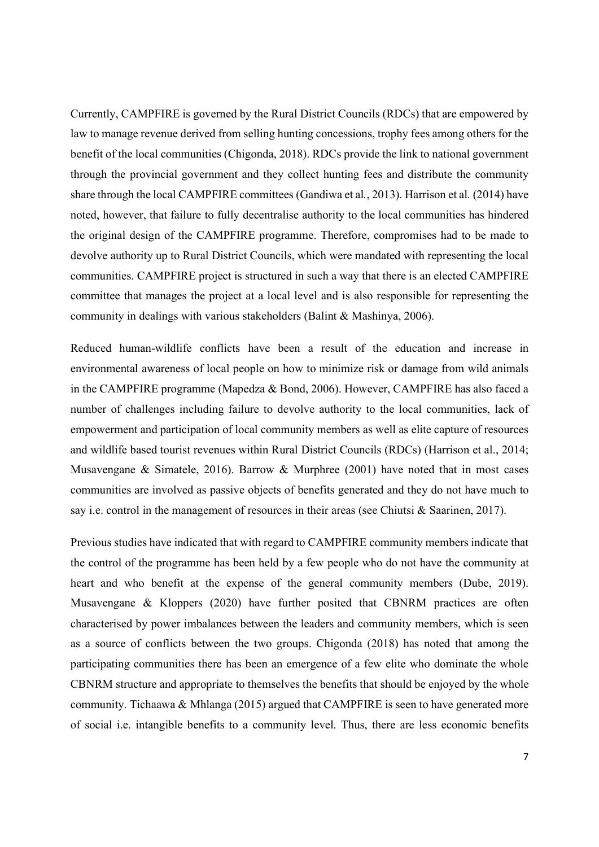Currently, CAMPFIRE is governed by the Rural District Councils (RDCs) that are empowered by law to manage revenue derived from selling hunting concessions, trophy fees among others for the benefit of the local communities (Chigonda, 2018). RDCs provide the link to national government through the provincial government and they collect hunting fees and distribute the community share through the local CAMPFIRE committees (Gandiwa et al., 2013). Harrison et al. (2014) have noted, however, that failure to fully decentralise authority to the local communities has hindered the original design of the CAMPFIRE programme. Therefore, compromises had to be made to devolve authority up to Rural District Councils, which were mandated with representing the local communities. CAMPFIRE project is structured in such a way that there is an elected CAMPFIRE committee that manages the project at a local level and is also responsible for representing the community in dealings with various stakeholders (Balint & Mashinya, 2006).

Reduced human-wildlife conflicts have been a result of the education and increase in environmental awareness of local people on how to minimize risk or damage from wild animals in the CAMPFIRE programme (Mapedza & Bond, 2006). However, CAMPFIRE has also faced a number of challenges including failure to devolve authority to the local communities, lack of empowerment and participation of local community members as well as elite capture of resources and wildlife based tourist revenues within Rural District Councils (RDCs) (Harrison et al., 2014; Musavengane & Simatele, 2016). Barrow & Murphree (2001) have noted that in most cases communities are involved as passive objects of benefits generated and they do not have much to say i.e. control in the management of resources in their areas (see Chiutsi & Saarinen, 2017).

Previous studies have indicated that with regard to CAMPFIRE community members indicate that the control of the programme has been held by a few people who do not have the community at heart and who benefit at the expense of the general community members (Dube, 2019). Musavengane & Kloppers (2020) have further posited that CBNRM practices are often characterised by power imbalances between the leaders and community members, which is seen as a source of conflicts between the two groups. Chigonda (2018) has noted that among the participating communities there has been an emergence of a few elite who dominate the whole CBNRM structure and appropriate to themselves the benefits that should be enjoyed by the whole community. Tichaawa & Mhlanga (2015) argued that CAMPFIRE is seen to have generated more of social i.e. intangible benefits to a community level. Thus, there are less economic benefits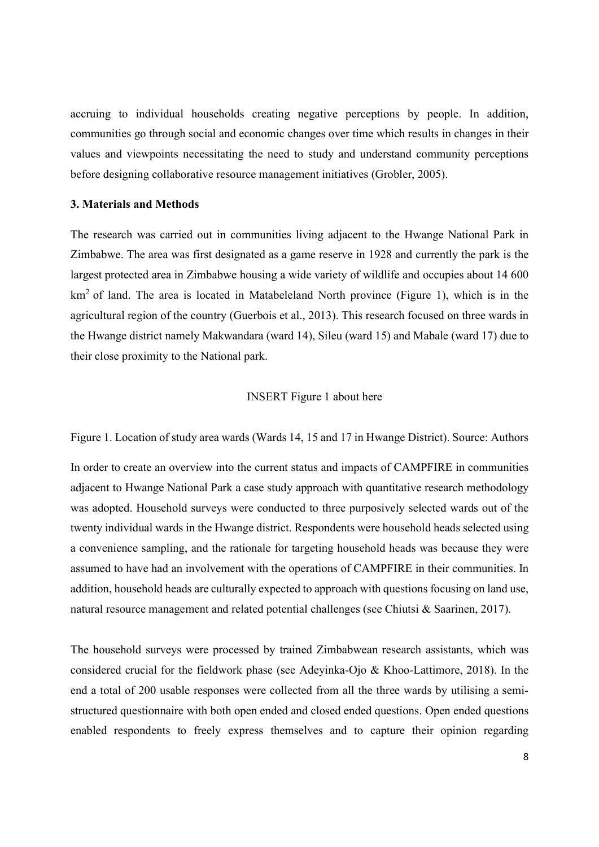accruing to individual households creating negative perceptions by people. In addition, communities go through social and economic changes over time which results in changes in their values and viewpoints necessitating the need to study and understand community perceptions before designing collaborative resource management initiatives (Grobler, 2005).

## 3. Materials and Methods

The research was carried out in communities living adjacent to the Hwange National Park in Zimbabwe. The area was first designated as a game reserve in 1928 and currently the park is the largest protected area in Zimbabwe housing a wide variety of wildlife and occupies about 14 600  $km<sup>2</sup>$  of land. The area is located in Matabeleland North province (Figure 1), which is in the agricultural region of the country (Guerbois et al., 2013). This research focused on three wards in the Hwange district namely Makwandara (ward 14), Sileu (ward 15) and Mabale (ward 17) due to their close proximity to the National park.

### INSERT Figure 1 about here

Figure 1. Location of study area wards (Wards 14, 15 and 17 in Hwange District). Source: Authors

In order to create an overview into the current status and impacts of CAMPFIRE in communities adjacent to Hwange National Park a case study approach with quantitative research methodology was adopted. Household surveys were conducted to three purposively selected wards out of the twenty individual wards in the Hwange district. Respondents were household heads selected using a convenience sampling, and the rationale for targeting household heads was because they were assumed to have had an involvement with the operations of CAMPFIRE in their communities. In addition, household heads are culturally expected to approach with questions focusing on land use, natural resource management and related potential challenges (see Chiutsi & Saarinen, 2017).

The household surveys were processed by trained Zimbabwean research assistants, which was considered crucial for the fieldwork phase (see Adeyinka-Ojo & Khoo-Lattimore, 2018). In the end a total of 200 usable responses were collected from all the three wards by utilising a semistructured questionnaire with both open ended and closed ended questions. Open ended questions enabled respondents to freely express themselves and to capture their opinion regarding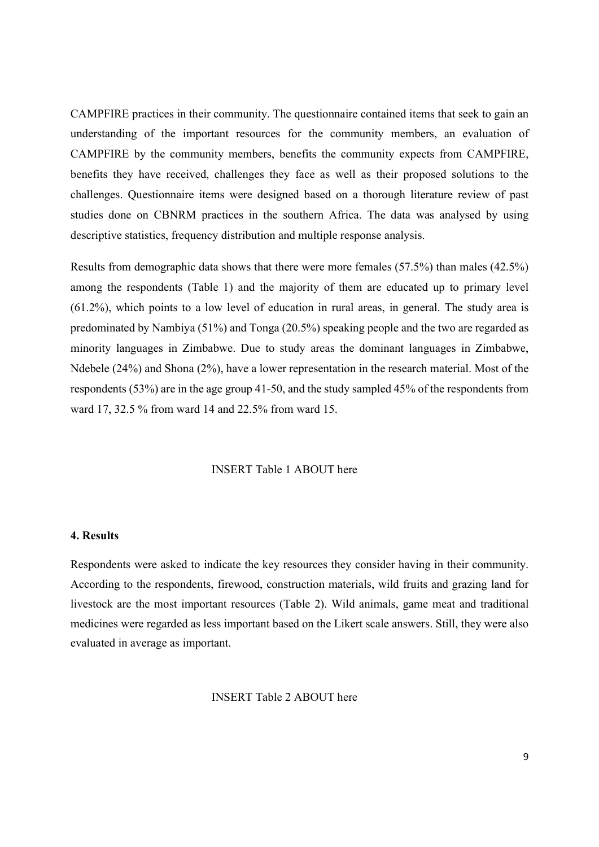CAMPFIRE practices in their community. The questionnaire contained items that seek to gain an understanding of the important resources for the community members, an evaluation of CAMPFIRE by the community members, benefits the community expects from CAMPFIRE, benefits they have received, challenges they face as well as their proposed solutions to the challenges. Questionnaire items were designed based on a thorough literature review of past studies done on CBNRM practices in the southern Africa. The data was analysed by using descriptive statistics, frequency distribution and multiple response analysis.

Results from demographic data shows that there were more females (57.5%) than males (42.5%) among the respondents (Table 1) and the majority of them are educated up to primary level (61.2%), which points to a low level of education in rural areas, in general. The study area is predominated by Nambiya (51%) and Tonga (20.5%) speaking people and the two are regarded as minority languages in Zimbabwe. Due to study areas the dominant languages in Zimbabwe, Ndebele (24%) and Shona (2%), have a lower representation in the research material. Most of the respondents (53%) are in the age group 41-50, and the study sampled 45% of the respondents from ward 17, 32.5 % from ward 14 and 22.5% from ward 15.

## INSERT Table 1 ABOUT here

## 4. Results

Respondents were asked to indicate the key resources they consider having in their community. According to the respondents, firewood, construction materials, wild fruits and grazing land for livestock are the most important resources (Table 2). Wild animals, game meat and traditional medicines were regarded as less important based on the Likert scale answers. Still, they were also evaluated in average as important.

INSERT Table 2 ABOUT here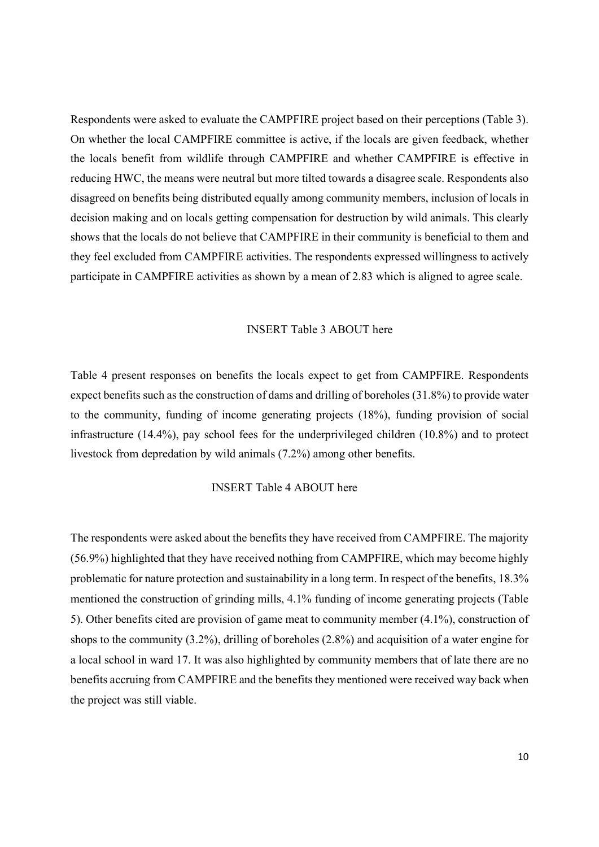Respondents were asked to evaluate the CAMPFIRE project based on their perceptions (Table 3). On whether the local CAMPFIRE committee is active, if the locals are given feedback, whether the locals benefit from wildlife through CAMPFIRE and whether CAMPFIRE is effective in reducing HWC, the means were neutral but more tilted towards a disagree scale. Respondents also disagreed on benefits being distributed equally among community members, inclusion of locals in decision making and on locals getting compensation for destruction by wild animals. This clearly shows that the locals do not believe that CAMPFIRE in their community is beneficial to them and they feel excluded from CAMPFIRE activities. The respondents expressed willingness to actively participate in CAMPFIRE activities as shown by a mean of 2.83 which is aligned to agree scale.

## INSERT Table 3 ABOUT here

Table 4 present responses on benefits the locals expect to get from CAMPFIRE. Respondents expect benefits such as the construction of dams and drilling of boreholes (31.8%) to provide water to the community, funding of income generating projects (18%), funding provision of social infrastructure (14.4%), pay school fees for the underprivileged children (10.8%) and to protect livestock from depredation by wild animals (7.2%) among other benefits.

#### INSERT Table 4 ABOUT here

The respondents were asked about the benefits they have received from CAMPFIRE. The majority (56.9%) highlighted that they have received nothing from CAMPFIRE, which may become highly problematic for nature protection and sustainability in a long term. In respect of the benefits, 18.3% mentioned the construction of grinding mills, 4.1% funding of income generating projects (Table 5). Other benefits cited are provision of game meat to community member (4.1%), construction of shops to the community (3.2%), drilling of boreholes (2.8%) and acquisition of a water engine for a local school in ward 17. It was also highlighted by community members that of late there are no benefits accruing from CAMPFIRE and the benefits they mentioned were received way back when the project was still viable.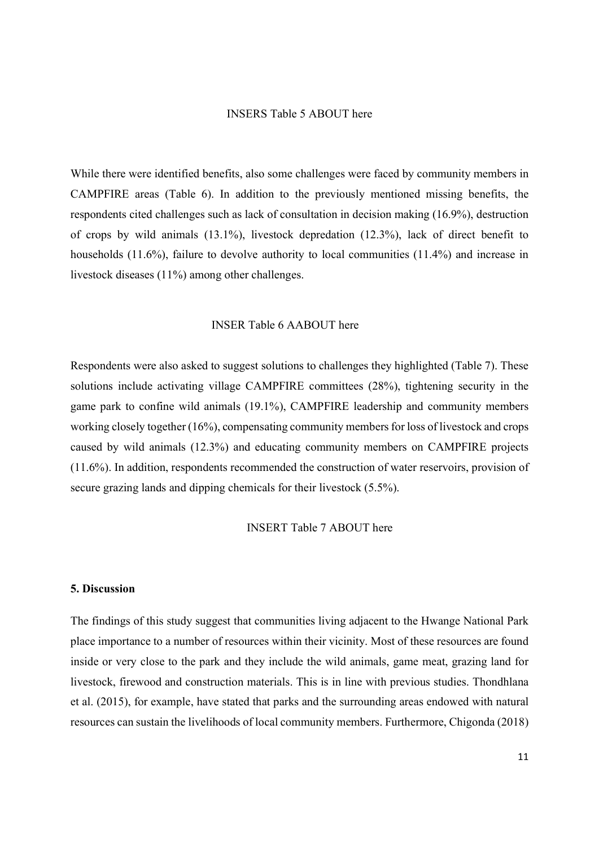## INSERS Table 5 ABOUT here

While there were identified benefits, also some challenges were faced by community members in CAMPFIRE areas (Table 6). In addition to the previously mentioned missing benefits, the respondents cited challenges such as lack of consultation in decision making (16.9%), destruction of crops by wild animals (13.1%), livestock depredation (12.3%), lack of direct benefit to households (11.6%), failure to devolve authority to local communities (11.4%) and increase in livestock diseases (11%) among other challenges.

## INSER Table 6 AABOUT here

Respondents were also asked to suggest solutions to challenges they highlighted (Table 7). These solutions include activating village CAMPFIRE committees (28%), tightening security in the game park to confine wild animals (19.1%), CAMPFIRE leadership and community members working closely together (16%), compensating community members for loss of livestock and crops caused by wild animals (12.3%) and educating community members on CAMPFIRE projects (11.6%). In addition, respondents recommended the construction of water reservoirs, provision of secure grazing lands and dipping chemicals for their livestock (5.5%).

## INSERT Table 7 ABOUT here

## 5. Discussion

The findings of this study suggest that communities living adjacent to the Hwange National Park place importance to a number of resources within their vicinity. Most of these resources are found inside or very close to the park and they include the wild animals, game meat, grazing land for livestock, firewood and construction materials. This is in line with previous studies. Thondhlana et al. (2015), for example, have stated that parks and the surrounding areas endowed with natural resources can sustain the livelihoods of local community members. Furthermore, Chigonda (2018)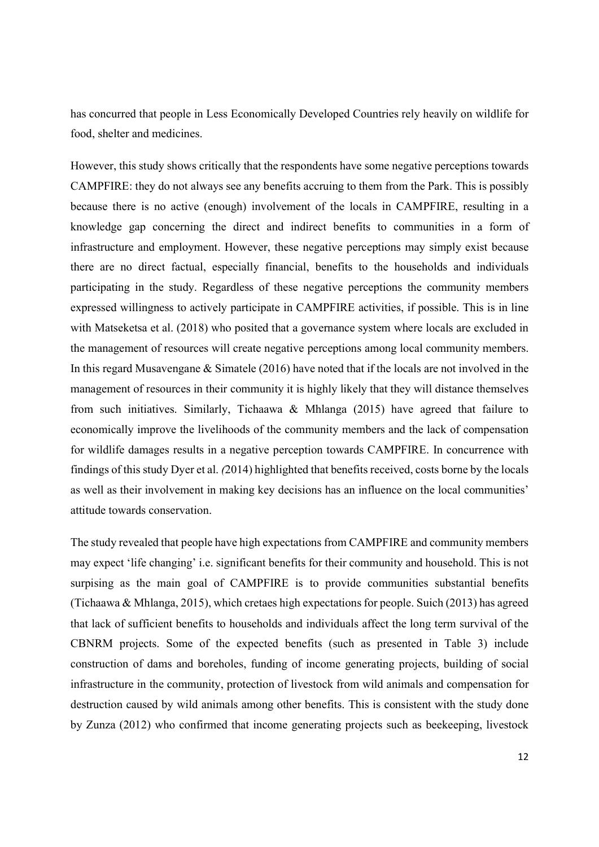has concurred that people in Less Economically Developed Countries rely heavily on wildlife for food, shelter and medicines.

However, this study shows critically that the respondents have some negative perceptions towards CAMPFIRE: they do not always see any benefits accruing to them from the Park. This is possibly because there is no active (enough) involvement of the locals in CAMPFIRE, resulting in a knowledge gap concerning the direct and indirect benefits to communities in a form of infrastructure and employment. However, these negative perceptions may simply exist because there are no direct factual, especially financial, benefits to the households and individuals participating in the study. Regardless of these negative perceptions the community members expressed willingness to actively participate in CAMPFIRE activities, if possible. This is in line with Matseketsa et al. (2018) who posited that a governance system where locals are excluded in the management of resources will create negative perceptions among local community members. In this regard Musavengane & Simatele (2016) have noted that if the locals are not involved in the management of resources in their community it is highly likely that they will distance themselves from such initiatives. Similarly, Tichaawa & Mhlanga (2015) have agreed that failure to economically improve the livelihoods of the community members and the lack of compensation for wildlife damages results in a negative perception towards CAMPFIRE. In concurrence with findings of this study Dyer et al. (2014) highlighted that benefits received, costs borne by the locals as well as their involvement in making key decisions has an influence on the local communities' attitude towards conservation.

The study revealed that people have high expectations from CAMPFIRE and community members may expect 'life changing' i.e. significant benefits for their community and household. This is not surpising as the main goal of CAMPFIRE is to provide communities substantial benefits (Tichaawa & Mhlanga, 2015), which cretaes high expectations for people. Suich (2013) has agreed that lack of sufficient benefits to households and individuals affect the long term survival of the CBNRM projects. Some of the expected benefits (such as presented in Table 3) include construction of dams and boreholes, funding of income generating projects, building of social infrastructure in the community, protection of livestock from wild animals and compensation for destruction caused by wild animals among other benefits. This is consistent with the study done by Zunza (2012) who confirmed that income generating projects such as beekeeping, livestock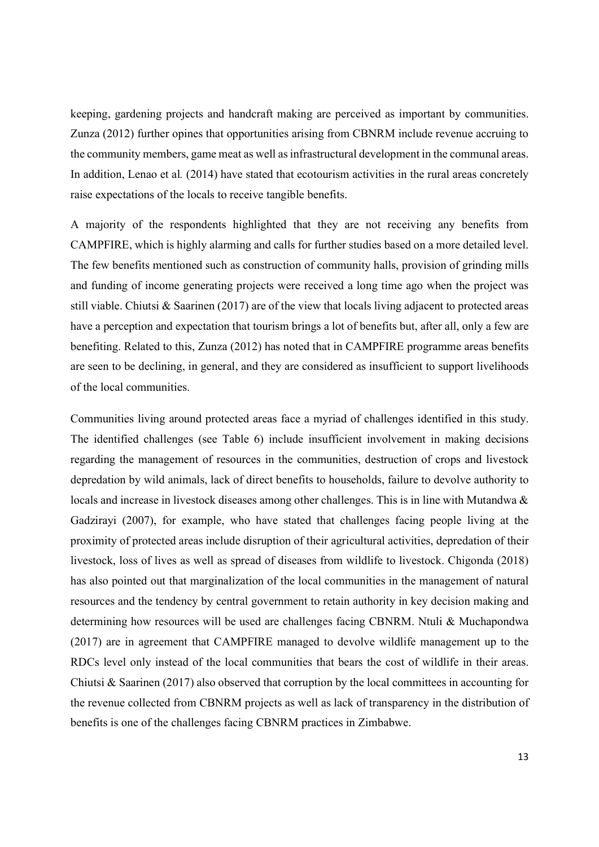keeping, gardening projects and handcraft making are perceived as important by communities. Zunza (2012) further opines that opportunities arising from CBNRM include revenue accruing to the community members, game meat as well as infrastructural development in the communal areas. In addition, Lenao et al. (2014) have stated that ecotourism activities in the rural areas concretely raise expectations of the locals to receive tangible benefits.

A majority of the respondents highlighted that they are not receiving any benefits from CAMPFIRE, which is highly alarming and calls for further studies based on a more detailed level. The few benefits mentioned such as construction of community halls, provision of grinding mills and funding of income generating projects were received a long time ago when the project was still viable. Chiutsi & Saarinen (2017) are of the view that locals living adjacent to protected areas have a perception and expectation that tourism brings a lot of benefits but, after all, only a few are benefiting. Related to this, Zunza (2012) has noted that in CAMPFIRE programme areas benefits are seen to be declining, in general, and they are considered as insufficient to support livelihoods of the local communities.

Communities living around protected areas face a myriad of challenges identified in this study. The identified challenges (see Table 6) include insufficient involvement in making decisions regarding the management of resources in the communities, destruction of crops and livestock depredation by wild animals, lack of direct benefits to households, failure to devolve authority to locals and increase in livestock diseases among other challenges. This is in line with Mutandwa & Gadzirayi (2007), for example, who have stated that challenges facing people living at the proximity of protected areas include disruption of their agricultural activities, depredation of their livestock, loss of lives as well as spread of diseases from wildlife to livestock. Chigonda (2018) has also pointed out that marginalization of the local communities in the management of natural resources and the tendency by central government to retain authority in key decision making and determining how resources will be used are challenges facing CBNRM. Ntuli & Muchapondwa (2017) are in agreement that CAMPFIRE managed to devolve wildlife management up to the RDCs level only instead of the local communities that bears the cost of wildlife in their areas. Chiutsi & Saarinen (2017) also observed that corruption by the local committees in accounting for the revenue collected from CBNRM projects as well as lack of transparency in the distribution of benefits is one of the challenges facing CBNRM practices in Zimbabwe.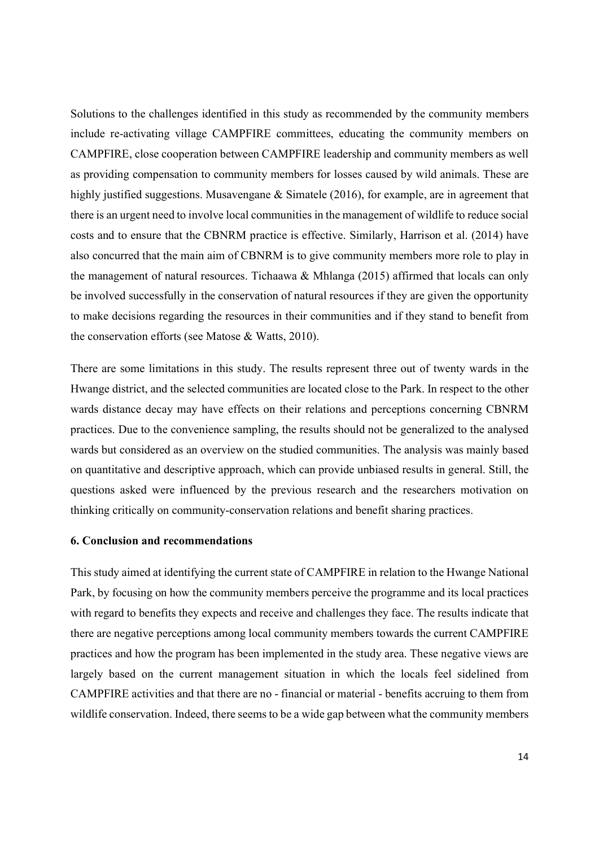Solutions to the challenges identified in this study as recommended by the community members include re-activating village CAMPFIRE committees, educating the community members on CAMPFIRE, close cooperation between CAMPFIRE leadership and community members as well as providing compensation to community members for losses caused by wild animals. These are highly justified suggestions. Musavengane & Simatele (2016), for example, are in agreement that there is an urgent need to involve local communities in the management of wildlife to reduce social costs and to ensure that the CBNRM practice is effective. Similarly, Harrison et al. (2014) have also concurred that the main aim of CBNRM is to give community members more role to play in the management of natural resources. Tichaawa & Mhlanga (2015) affirmed that locals can only be involved successfully in the conservation of natural resources if they are given the opportunity to make decisions regarding the resources in their communities and if they stand to benefit from the conservation efforts (see Matose & Watts, 2010).

There are some limitations in this study. The results represent three out of twenty wards in the Hwange district, and the selected communities are located close to the Park. In respect to the other wards distance decay may have effects on their relations and perceptions concerning CBNRM practices. Due to the convenience sampling, the results should not be generalized to the analysed wards but considered as an overview on the studied communities. The analysis was mainly based on quantitative and descriptive approach, which can provide unbiased results in general. Still, the questions asked were influenced by the previous research and the researchers motivation on thinking critically on community-conservation relations and benefit sharing practices.

## 6. Conclusion and recommendations

This study aimed at identifying the current state of CAMPFIRE in relation to the Hwange National Park, by focusing on how the community members perceive the programme and its local practices with regard to benefits they expects and receive and challenges they face. The results indicate that there are negative perceptions among local community members towards the current CAMPFIRE practices and how the program has been implemented in the study area. These negative views are largely based on the current management situation in which the locals feel sidelined from CAMPFIRE activities and that there are no - financial or material - benefits accruing to them from wildlife conservation. Indeed, there seems to be a wide gap between what the community members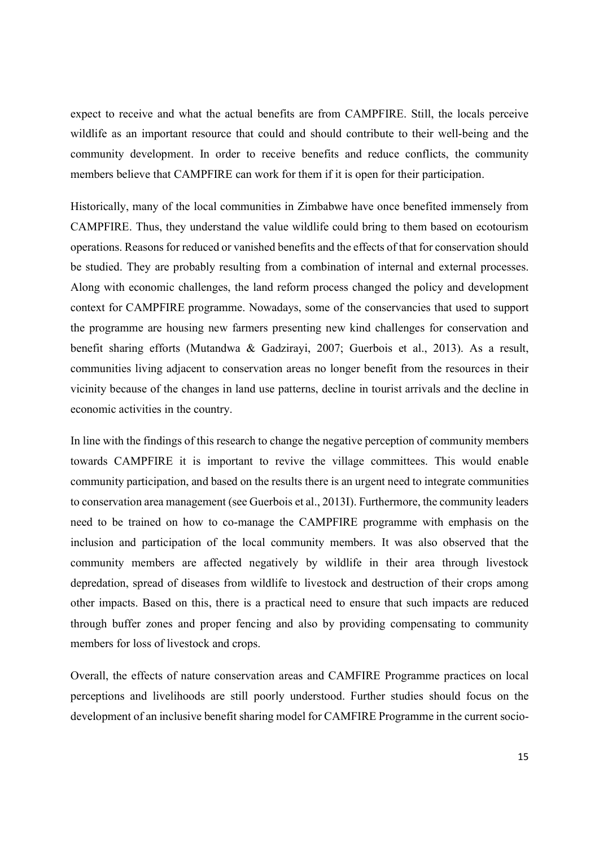expect to receive and what the actual benefits are from CAMPFIRE. Still, the locals perceive wildlife as an important resource that could and should contribute to their well-being and the community development. In order to receive benefits and reduce conflicts, the community members believe that CAMPFIRE can work for them if it is open for their participation.

Historically, many of the local communities in Zimbabwe have once benefited immensely from CAMPFIRE. Thus, they understand the value wildlife could bring to them based on ecotourism operations. Reasons for reduced or vanished benefits and the effects of that for conservation should be studied. They are probably resulting from a combination of internal and external processes. Along with economic challenges, the land reform process changed the policy and development context for CAMPFIRE programme. Nowadays, some of the conservancies that used to support the programme are housing new farmers presenting new kind challenges for conservation and benefit sharing efforts (Mutandwa & Gadzirayi, 2007; Guerbois et al., 2013). As a result, communities living adjacent to conservation areas no longer benefit from the resources in their vicinity because of the changes in land use patterns, decline in tourist arrivals and the decline in economic activities in the country.

In line with the findings of this research to change the negative perception of community members towards CAMPFIRE it is important to revive the village committees. This would enable community participation, and based on the results there is an urgent need to integrate communities to conservation area management (see Guerbois et al., 2013I). Furthermore, the community leaders need to be trained on how to co-manage the CAMPFIRE programme with emphasis on the inclusion and participation of the local community members. It was also observed that the community members are affected negatively by wildlife in their area through livestock depredation, spread of diseases from wildlife to livestock and destruction of their crops among other impacts. Based on this, there is a practical need to ensure that such impacts are reduced through buffer zones and proper fencing and also by providing compensating to community members for loss of livestock and crops.

Overall, the effects of nature conservation areas and CAMFIRE Programme practices on local perceptions and livelihoods are still poorly understood. Further studies should focus on the development of an inclusive benefit sharing model for CAMFIRE Programme in the current socio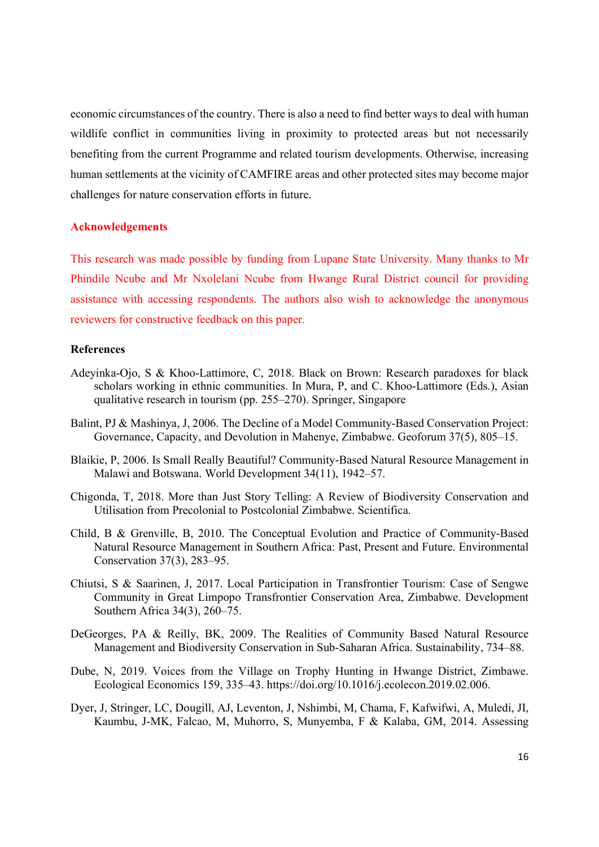economic circumstances of the country. There is also a need to find better ways to deal with human wildlife conflict in communities living in proximity to protected areas but not necessarily benefiting from the current Programme and related tourism developments. Otherwise, increasing human settlements at the vicinity of CAMFIRE areas and other protected sites may become major challenges for nature conservation efforts in future.

## Acknowledgements

This research was made possible by funding from Lupane State University. Many thanks to Mr Phindile Ncube and Mr Nxolelani Ncube from Hwange Rural District council for providing assistance with accessing respondents. The authors also wish to acknowledge the anonymous reviewers for constructive feedback on this paper.

#### References

- Adeyinka-Ojo, S & Khoo-Lattimore, C, 2018. Black on Brown: Research paradoxes for black scholars working in ethnic communities. In Mura, P, and C. Khoo-Lattimore (Eds.), Asian qualitative research in tourism (pp. 255–270). Springer, Singapore
- Balint, PJ & Mashinya, J, 2006. The Decline of a Model Community-Based Conservation Project: Governance, Capacity, and Devolution in Mahenye, Zimbabwe. Geoforum 37(5), 805–15.
- Blaikie, P, 2006. Is Small Really Beautiful? Community-Based Natural Resource Management in Malawi and Botswana. World Development 34(11), 1942–57.
- Chigonda, T, 2018. More than Just Story Telling: A Review of Biodiversity Conservation and Utilisation from Precolonial to Postcolonial Zimbabwe. Scientifica.
- Child, B & Grenville, B, 2010. The Conceptual Evolution and Practice of Community-Based Natural Resource Management in Southern Africa: Past, Present and Future. Environmental Conservation 37(3), 283–95.
- Chiutsi, S & Saarinen, J, 2017. Local Participation in Transfrontier Tourism: Case of Sengwe Community in Great Limpopo Transfrontier Conservation Area, Zimbabwe. Development Southern Africa 34(3), 260–75.
- DeGeorges, PA & Reilly, BK, 2009. The Realities of Community Based Natural Resource Management and Biodiversity Conservation in Sub-Saharan Africa. Sustainability, 734–88.
- Dube, N, 2019. Voices from the Village on Trophy Hunting in Hwange District, Zimbawe. Ecological Economics 159, 335–43. https://doi.org/10.1016/j.ecolecon.2019.02.006.
- Dyer, J, Stringer, LC, Dougill, AJ, Leventon, J, Nshimbi, M, Chama, F, Kafwifwi, A, Muledi, JI, Kaumbu, J-MK, Falcao, M, Muhorro, S, Munyemba, F & Kalaba, GM, 2014. Assessing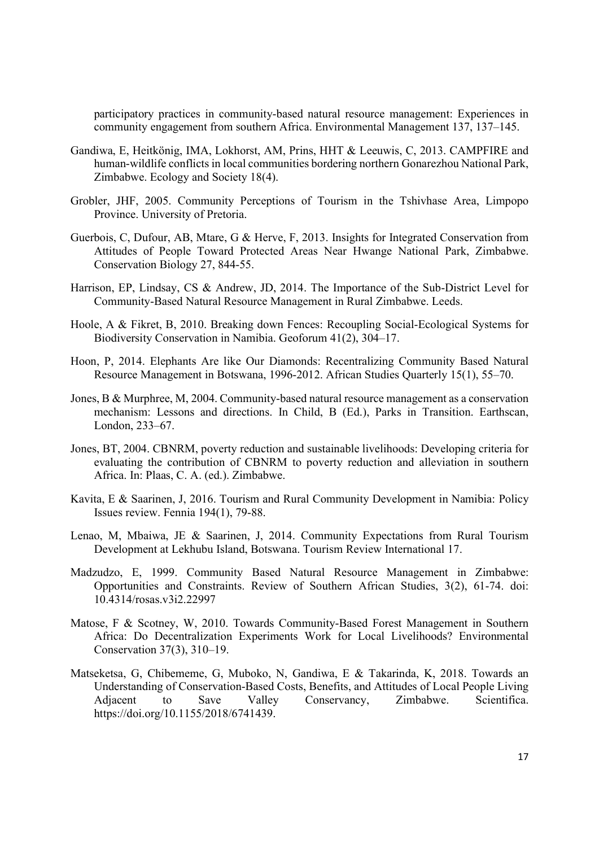participatory practices in community-based natural resource management: Experiences in community engagement from southern Africa. Environmental Management 137, 137–145.

- Gandiwa, E, Heitkönig, IMA, Lokhorst, AM, Prins, HHT & Leeuwis, C, 2013. CAMPFIRE and human-wildlife conflicts in local communities bordering northern Gonarezhou National Park, Zimbabwe. Ecology and Society 18(4).
- Grobler, JHF, 2005. Community Perceptions of Tourism in the Tshivhase Area, Limpopo Province. University of Pretoria.
- Guerbois, C, Dufour, AB, Mtare, G & Herve, F, 2013. Insights for Integrated Conservation from Attitudes of People Toward Protected Areas Near Hwange National Park, Zimbabwe. Conservation Biology 27, 844-55.
- Harrison, EP, Lindsay, CS & Andrew, JD, 2014. The Importance of the Sub-District Level for Community-Based Natural Resource Management in Rural Zimbabwe. Leeds.
- Hoole, A & Fikret, B, 2010. Breaking down Fences: Recoupling Social-Ecological Systems for Biodiversity Conservation in Namibia. Geoforum 41(2), 304–17.
- Hoon, P, 2014. Elephants Are like Our Diamonds: Recentralizing Community Based Natural Resource Management in Botswana, 1996-2012. African Studies Quarterly 15(1), 55–70.
- Jones, B & Murphree, M, 2004. Community-based natural resource management as a conservation mechanism: Lessons and directions. In Child, B (Ed.), Parks in Transition. Earthscan, London, 233–67.
- Jones, BT, 2004. CBNRM, poverty reduction and sustainable livelihoods: Developing criteria for evaluating the contribution of CBNRM to poverty reduction and alleviation in southern Africa. In: Plaas, C. A. (ed.). Zimbabwe.
- Kavita, E & Saarinen, J, 2016. Tourism and Rural Community Development in Namibia: Policy Issues review. Fennia 194(1), 79-88.
- Lenao, M, Mbaiwa, JE & Saarinen, J, 2014. Community Expectations from Rural Tourism Development at Lekhubu Island, Botswana. Tourism Review International 17.
- Madzudzo, E, 1999. Community Based Natural Resource Management in Zimbabwe: Opportunities and Constraints. Review of Southern African Studies, 3(2), 61-74. doi: 10.4314/rosas.v3i2.22997
- Matose, F & Scotney, W, 2010. Towards Community-Based Forest Management in Southern Africa: Do Decentralization Experiments Work for Local Livelihoods? Environmental Conservation 37(3), 310–19.
- Matseketsa, G, Chibememe, G, Muboko, N, Gandiwa, E & Takarinda, K, 2018. Towards an Understanding of Conservation-Based Costs, Benefits, and Attitudes of Local People Living Adjacent to Save Valley Conservancy, Zimbabwe. Scientifica. https://doi.org/10.1155/2018/6741439.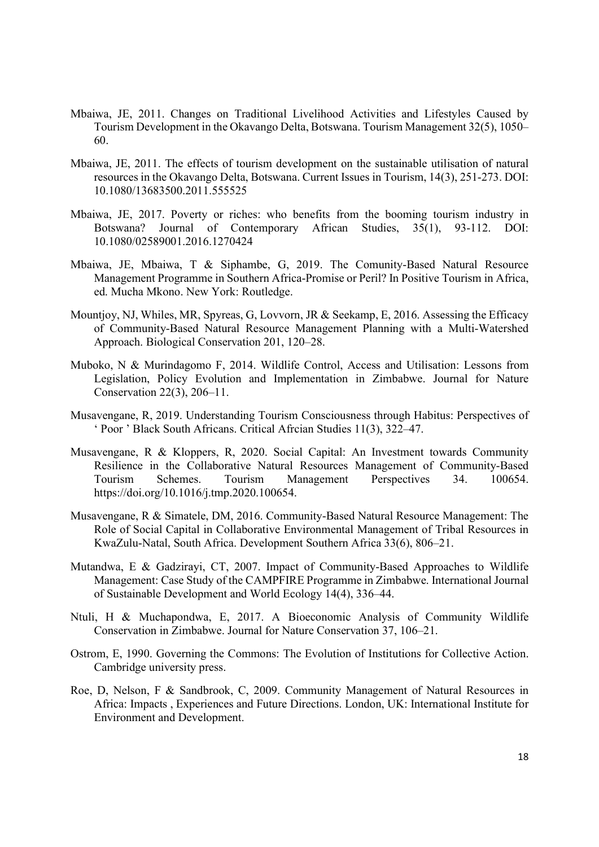- Mbaiwa, JE, 2011. Changes on Traditional Livelihood Activities and Lifestyles Caused by Tourism Development in the Okavango Delta, Botswana. Tourism Management 32(5), 1050– 60.
- Mbaiwa, JE, 2011. The effects of tourism development on the sustainable utilisation of natural resources in the Okavango Delta, Botswana. Current Issues in Tourism, 14(3), 251-273. DOI: 10.1080/13683500.2011.555525
- Mbaiwa, JE, 2017. Poverty or riches: who benefits from the booming tourism industry in Botswana? Journal of Contemporary African Studies, 35(1), 93-112. DOI: 10.1080/02589001.2016.1270424
- Mbaiwa, JE, Mbaiwa, T & Siphambe, G, 2019. The Comunity-Based Natural Resource Management Programme in Southern Africa-Promise or Peril? In Positive Tourism in Africa, ed. Mucha Mkono. New York: Routledge.
- Mountjoy, NJ, Whiles, MR, Spyreas, G, Lovvorn, JR & Seekamp, E, 2016. Assessing the Efficacy of Community-Based Natural Resource Management Planning with a Multi-Watershed Approach. Biological Conservation 201, 120–28.
- Muboko, N & Murindagomo F, 2014. Wildlife Control, Access and Utilisation: Lessons from Legislation, Policy Evolution and Implementation in Zimbabwe. Journal for Nature Conservation 22(3), 206–11.
- Musavengane, R, 2019. Understanding Tourism Consciousness through Habitus: Perspectives of ' Poor ' Black South Africans. Critical Afrcian Studies 11(3), 322–47.
- Musavengane, R & Kloppers, R, 2020. Social Capital: An Investment towards Community Resilience in the Collaborative Natural Resources Management of Community-Based Tourism Schemes. Tourism Management Perspectives 34. 100654. https://doi.org/10.1016/j.tmp.2020.100654.
- Musavengane, R & Simatele, DM, 2016. Community-Based Natural Resource Management: The Role of Social Capital in Collaborative Environmental Management of Tribal Resources in KwaZulu-Natal, South Africa. Development Southern Africa 33(6), 806–21.
- Mutandwa, E & Gadzirayi, CT, 2007. Impact of Community-Based Approaches to Wildlife Management: Case Study of the CAMPFIRE Programme in Zimbabwe. International Journal of Sustainable Development and World Ecology 14(4), 336–44.
- Ntuli, H & Muchapondwa, E, 2017. A Bioeconomic Analysis of Community Wildlife Conservation in Zimbabwe. Journal for Nature Conservation 37, 106–21.
- Ostrom, E, 1990. Governing the Commons: The Evolution of Institutions for Collective Action. Cambridge university press.
- Roe, D, Nelson, F & Sandbrook, C, 2009. Community Management of Natural Resources in Africa: Impacts , Experiences and Future Directions. London, UK: International Institute for Environment and Development.